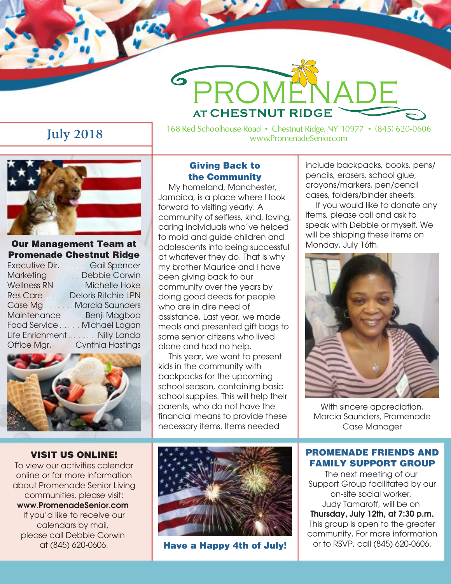# **July 2018**

168 Red Schoolhouse Road • Chestnut Ridge, NY 10977 • (845) 620-0606 www.PromenadeSenior.com



**Our Management Team at Promenade Chestnut Ridge** Executive Dir. .......... Gail Spencer Marketing **Contains Debbie Corwin** Wellness RN .......... Michelle Hoke Res Care ......... Deloris Ritchie LPN Case Ma ........... Marcia Saunders Maintenance ........ Benji Magboo Food Service ....... Michael Logan Life Enrichment ........... Nilly Landa Office Mgr. Cynthia Hastings



#### **VISIT US ONLINE!**

To view our activities calendar online or for more information about Promenade Senior Living communities, please visit: www.PromenadeSenior.com If you'd like to receive our calendars by mail, please call Debbie Corwin at (845) 620-0606.

## **Giving Back to the Community**

<sup>S</sup>PROME

**AT CHESTNUT RIDGE** 

My homeland, Manchester, Jamaica, is a place where I look forward to visiting yearly. A community of selfless, kind, loving, caring individuals who've helped to mold and guide children and adolescents into being successful at whatever they do. That is why my brother Maurice and I have been giving back to our community over the years by doing good deeds for people who are in dire need of assistance. Last year, we made meals and presented gift bags to some senior citizens who lived alone and had no help.

This year, we want to present kids in the community with backpacks for the upcoming school season, containing basic school supplies. This will help their parents, who do not have the financial means to provide these necessary items. Items needed



**Have a Happy 4th of July!**

include backpacks, books, pens/ pencils, erasers, school glue, crayons/markers, pen/pencil cases, folders/binder sheets.

 $\boldsymbol{a}$ 

If you would like to donate any items, please call and ask to speak with Debbie or myself. We will be shipping these items on Monday, July 16th.



With sincere appreciation, Marcia Saunders, Promenade Case Manager

#### **PROMENADE FRIENDS AND FAMILY SUPPORT GROUP**

The next meeting of our Support Group facilitated by our on-site social worker, Judy Tamaroff, will be on Thursday, July 12th, at 7:30 p.m. This group is open to the greater community. For more information or to RSVP, call (845) 620-0606.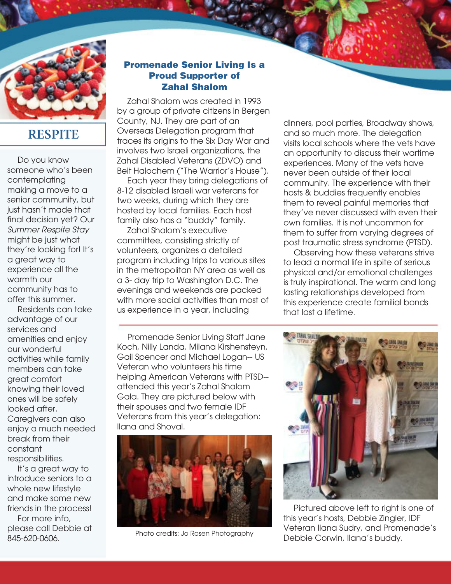

# **RESPITE**

Do you know someone who's been contemplating making a move to a senior community, but just hasn't made that final decision yet? Our *Summer Respite Stay* might be just what they're looking for! It's a great way to experience all the warmth our community has to offer this summer.

Residents can take advantage of our services and amenities and enjoy our wonderful activities while family members can take great comfort knowing their loved ones will be safely looked after. Caregivers can also enjoy a much needed break from their constant responsibilities.

It's a great way to introduce seniors to a whole new lifestyle and make some new friends in the process! For more info, please call Debbie at 845-620-0606.

## **Promenade Senior Living Is a Proud Supporter of Zahal Shalom**

Zahal Shalom was created in 1993 by a group of private citizens in Bergen County, NJ. They are part of an Overseas Delegation program that traces its origins to the Six Day War and involves two Israeli organizations, the Zahal Disabled Veterans (ZDVO) and Beit Halochem ("The Warrior's House").

Each year they bring delegations of 8-12 disabled Israeli war veterans for two weeks, during which they are hosted by local families. Each host family also has a "buddy" family.

Zahal Shalom's executive committee, consisting strictly of volunteers, organizes a detailed program including trips to various sites in the metropolitan NY area as well as a 3- day trip to Washington D.C. The evenings and weekends are packed with more social activities than most of us experience in a year, including

Promenade Senior Living Staff Jane Koch, Nilly Landa, Milana Kirshensteyn, Gail Spencer and Michael Logan-- US Veteran who volunteers his time helping American Veterans with PTSD- attended this year's Zahal Shalom Gala. They are pictured below with their spouses and two female IDF Veterans from this year's delegation: Ilana and Shoval.



Photo credits: Jo Rosen Photography

dinners, pool parties, Broadway shows, and so much more. The delegation visits local schools where the vets have an opportunity to discuss their wartime experiences. Many of the vets have never been outside of their local community. The experience with their hosts & buddies frequently enables them to reveal painful memories that they've never discussed with even their own families. It is not uncommon for them to suffer from varying degrees of post traumatic stress syndrome (PTSD).

Observing how these veterans strive to lead a normal life in spite of serious physical and/or emotional challenges is truly inspirational. The warm and long lasting relationships developed from this experience create familial bonds that last a lifetime.



Pictured above left to right is one of this year's hosts, Debbie Zingler, IDF Veteran Ilana Sudry, and Promenade's Debbie Corwin, Ilana's buddy.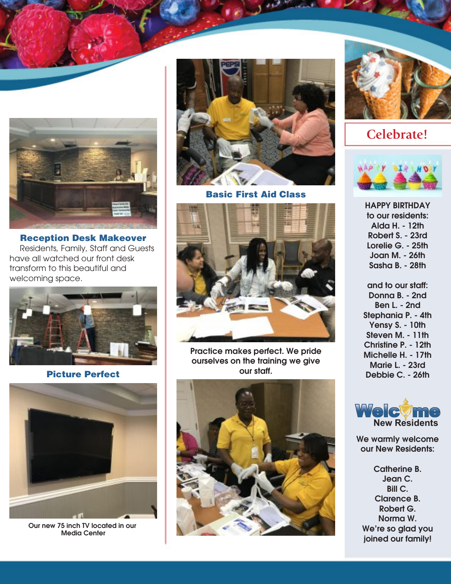

**Reception Desk Makeover** Residents, Family, Staff and Guests have all watched our front desk transform to this beautiful and welcoming space.



**Picture Perfect**



Our new 75 inch TV located in our Media Center



**Basic First Aid Class**



Practice makes perfect. We pride ourselves on the training we give our staff.





**Celebrate!**



HAPPY BIRTHDAY to our residents: Alda H. - 12th Robert S. - 23rd Lorelie G. - 25th Joan M. - 26th Sasha B. - 28th

and to our staff: Donna B. - 2nd Ben L. - 2nd Stephania P. - 4th Yensy S. - 10th Steven M. - 11th Christine P. - 12th Michelle H. - 17th Marie L. - 23rd Debbie C. - 26th



We warmly welcome our New Residents:

Catherine B. Jean C. Bill C. Clarence B. Robert G. Norma W. We're so glad you joined our family!